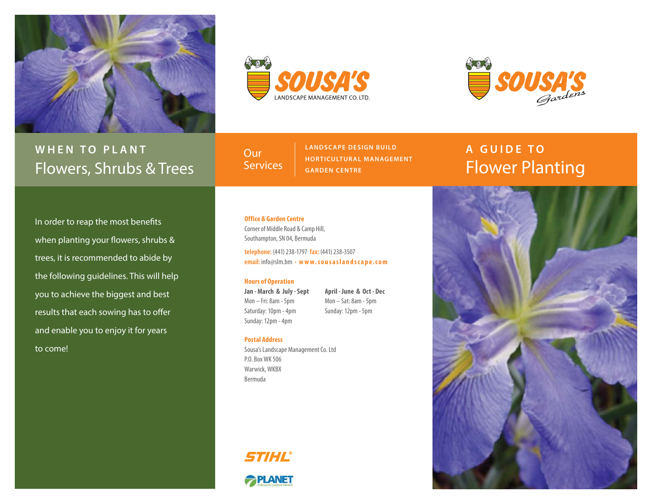





# **WHEN TO PLANT** Flowers, Shrubs & Trees

**Our Services**  **LANDSCAPE DESIGN BUILD HORTICULTUR AL MANAGEMENT GARDEN CENTRE**

# **A GUIDE TO** Flower Planting

In order to reap the most benefits when planting your flowers, shrubs & trees, it is recommended to abide by the following guidelines. This will help you to achieve the biggest and best results that each sowing has to offer and enable you to enjoy it for years to come!

# **Office & Garden Centre**

Corner of Middle Road & Camp Hill, Southampton, SN 04, Bermuda

**telephone:** (441) 238-1797 **fax:** (441) 238-3507 **email:** info@slm.bm • **w w w. s o u s a s l a n d s c a p e . c o m** 

## **Hours of Operation**

**Jan - March & July - Sept** Mon – Fri: 8am - 5pm Saturday: 10pm - 4pm Sunday: 12pm - 4pm

**April - June & Oct - Dec** Mon – Sat: 8am - 5pm Sunday: 12pm - 5pm

## **Postal Address**

Sousa's Landscape Management Co. Ltd P.O. Box WK 506 Warwick, WKBX Bermuda